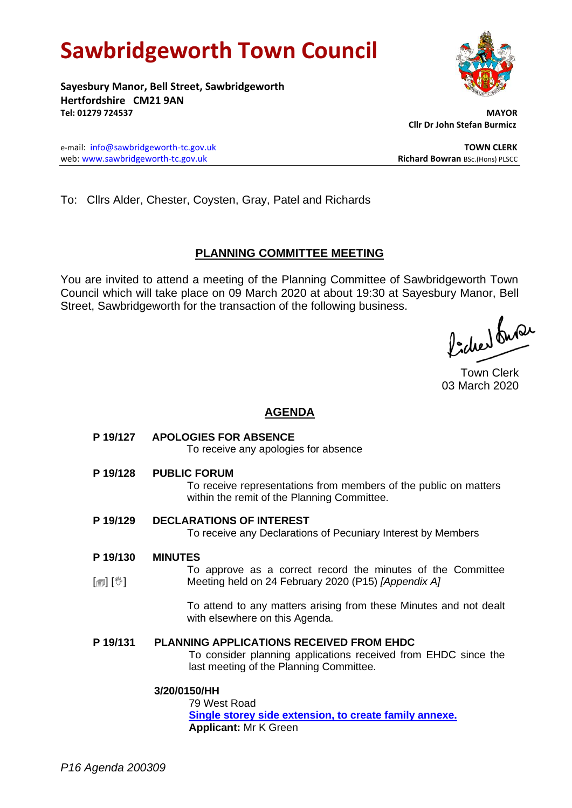# **Sawbridgeworth Town Council**

**Sayesbury Manor, Bell Street, Sawbridgeworth Hertfordshire CM21 9AN Tel: 01279 724537 MAYOR**

 **Cllr Dr John Stefan Burmicz**

e-mail: [info@sawbridgeworth-tc.gov.uk](mailto:info@sawbridgeworth-tc.gov.uk) **TOWN CLERK** web: www.sawbridgeworth-tc.gov.uk<br> **Richard Bowran** BSc.(Hons) PLSCC

To: Cllrs Alder, Chester, Coysten, Gray, Patel and Richards

# **PLANNING COMMITTEE MEETING**

You are invited to attend a meeting of the Planning Committee of Sawbridgeworth Town Council which will take place on 09 March 2020 at about 19:30 at Sayesbury Manor, Bell Street, Sawbridgeworth for the transaction of the following business.

Picked fune

Town Clerk 03 March 2020

## **AGENDA**

|                                        | P 19/127 APOLOGIES FOR ABSENCE<br>To receive any apologies for absence                                                                                       |
|----------------------------------------|--------------------------------------------------------------------------------------------------------------------------------------------------------------|
| P 19/128                               | <b>PUBLIC FORUM</b><br>To receive representations from members of the public on matters<br>within the remit of the Planning Committee.                       |
| P 19/129                               | <b>DECLARATIONS OF INTEREST</b><br>To receive any Declarations of Pecuniary Interest by Members                                                              |
| P 19/130<br>$\mathbb{D}[\mathbb{D}^1]$ | <b>MINUTES</b><br>To approve as a correct record the minutes of the Committee<br>Meeting held on 24 February 2020 (P15) [Appendix A]                         |
|                                        | To attend to any matters arising from these Minutes and not dealt<br>with elsewhere on this Agenda.                                                          |
| P 19/131                               | <b>PLANNING APPLICATIONS RECEIVED FROM EHDC</b><br>To consider planning applications received from EHDC since the<br>last meeting of the Planning Committee. |
|                                        | 3/20/0150/HH<br>79 West Road<br>Single storey side extension, to create family annexe.                                                                       |

**Applicant:** Mr K Green